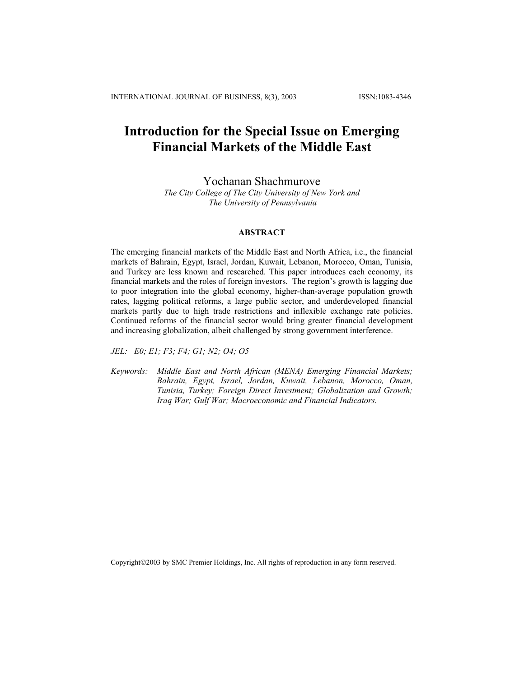# **Introduction for the Special Issue on Emerging Financial Markets of the Middle East**

Yochanan Shachmurove

*The City College of The City University of New York and The University of Pennsylvania*

## **ABSTRACT**

The emerging financial markets of the Middle East and North Africa, i.e., the financial markets of Bahrain, Egypt, Israel, Jordan, Kuwait, Lebanon, Morocco, Oman, Tunisia, and Turkey are less known and researched. This paper introduces each economy, its financial markets and the roles of foreign investors. The region's growth is lagging due to poor integration into the global economy, higher-than-average population growth rates, lagging political reforms, a large public sector, and underdeveloped financial markets partly due to high trade restrictions and inflexible exchange rate policies. Continued reforms of the financial sector would bring greater financial development and increasing globalization, albeit challenged by strong government interference.

*JEL: E0; E1; F3; F4; G1; N2; O4; O5* 

*Keywords: Middle East and North African (MENA) Emerging Financial Markets; Bahrain, Egypt, Israel, Jordan, Kuwait, Lebanon, Morocco, Oman, Tunisia, Turkey; Foreign Direct Investment; Globalization and Growth; Iraq War; Gulf War; Macroeconomic and Financial Indicators.* 

Copyright©2003 by SMC Premier Holdings, Inc. All rights of reproduction in any form reserved.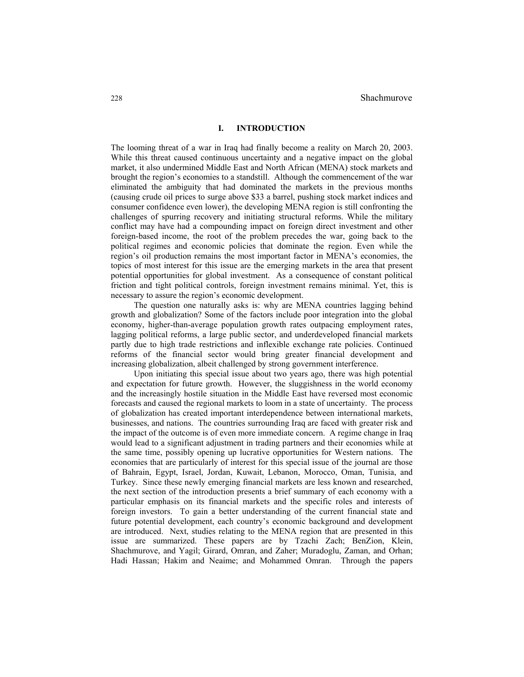# **I. INTRODUCTION**

The looming threat of a war in Iraq had finally become a reality on March 20, 2003. While this threat caused continuous uncertainty and a negative impact on the global market, it also undermined Middle East and North African (MENA) stock markets and brought the region's economies to a standstill. Although the commencement of the war eliminated the ambiguity that had dominated the markets in the previous months (causing crude oil prices to surge above \$33 a barrel, pushing stock market indices and consumer confidence even lower), the developing MENA region is still confronting the challenges of spurring recovery and initiating structural reforms. While the military conflict may have had a compounding impact on foreign direct investment and other foreign-based income, the root of the problem precedes the war, going back to the political regimes and economic policies that dominate the region. Even while the region's oil production remains the most important factor in MENA's economies, the topics of most interest for this issue are the emerging markets in the area that present potential opportunities for global investment. As a consequence of constant political friction and tight political controls, foreign investment remains minimal. Yet, this is necessary to assure the region's economic development.

The question one naturally asks is: why are MENA countries lagging behind growth and globalization? Some of the factors include poor integration into the global economy, higher-than-average population growth rates outpacing employment rates, lagging political reforms, a large public sector, and underdeveloped financial markets partly due to high trade restrictions and inflexible exchange rate policies. Continued reforms of the financial sector would bring greater financial development and increasing globalization, albeit challenged by strong government interference.

Upon initiating this special issue about two years ago, there was high potential and expectation for future growth. However, the sluggishness in the world economy and the increasingly hostile situation in the Middle East have reversed most economic forecasts and caused the regional markets to loom in a state of uncertainty. The process of globalization has created important interdependence between international markets, businesses, and nations. The countries surrounding Iraq are faced with greater risk and the impact of the outcome is of even more immediate concern. A regime change in Iraq would lead to a significant adjustment in trading partners and their economies while at the same time, possibly opening up lucrative opportunities for Western nations. The economies that are particularly of interest for this special issue of the journal are those of Bahrain, Egypt, Israel, Jordan, Kuwait, Lebanon, Morocco, Oman, Tunisia, and Turkey. Since these newly emerging financial markets are less known and researched, the next section of the introduction presents a brief summary of each economy with a particular emphasis on its financial markets and the specific roles and interests of foreign investors. To gain a better understanding of the current financial state and future potential development, each country's economic background and development are introduced. Next, studies relating to the MENA region that are presented in this issue are summarized. These papers are by Tzachi Zach; BenZion, Klein, Shachmurove, and Yagil; Girard, Omran, and Zaher; Muradoglu, Zaman, and Orhan; Hadi Hassan; Hakim and Neaime; and Mohammed Omran. Through the papers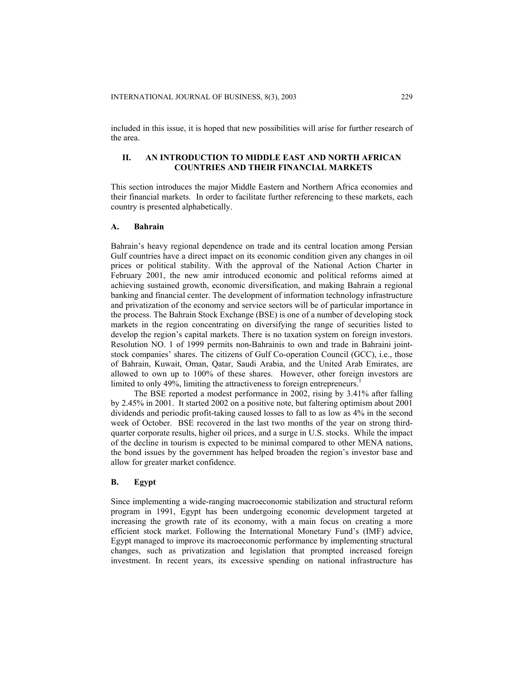included in this issue, it is hoped that new possibilities will arise for further research of the area.

# **II. AN INTRODUCTION TO MIDDLE EAST AND NORTH AFRICAN COUNTRIES AND THEIR FINANCIAL MARKETS**

This section introduces the major Middle Eastern and Northern Africa economies and their financial markets. In order to facilitate further referencing to these markets, each country is presented alphabetically.

#### **A. Bahrain**

Bahrain's heavy regional dependence on trade and its central location among Persian Gulf countries have a direct impact on its economic condition given any changes in oil prices or political stability. With the approval of the National Action Charter in February 2001, the new amir introduced economic and political reforms aimed at achieving sustained growth, economic diversification, and making Bahrain a regional banking and financial center. The development of information technology infrastructure and privatization of the economy and service sectors will be of particular importance in the process. The Bahrain Stock Exchange (BSE) is one of a number of developing stock markets in the region concentrating on diversifying the range of securities listed to develop the region's capital markets. There is no taxation system on foreign investors. Resolution NO. 1 of 1999 permits non-Bahrainis to own and trade in Bahraini jointstock companies' shares. The citizens of Gulf Co-operation Council (GCC), i.e., those of Bahrain, Kuwait, Oman, Qatar, Saudi Arabia, and the United Arab Emirates, are allowed to own up to 100% of these shares. However, other foreign investors are limited to only 49%, limiting the attractiveness to foreign entrepreneurs.<sup>1</sup>

The BSE reported a modest performance in 2002, rising by 3.41% after falling by 2.45% in 2001. It started 2002 on a positive note, but faltering optimism about 2001 dividends and periodic profit-taking caused losses to fall to as low as 4% in the second week of October. BSE recovered in the last two months of the year on strong thirdquarter corporate results, higher oil prices, and a surge in U.S. stocks. While the impact of the decline in tourism is expected to be minimal compared to other MENA nations, the bond issues by the government has helped broaden the region's investor base and allow for greater market confidence.

## **B. Egypt**

Since implementing a wide-ranging macroeconomic stabilization and structural reform program in 1991, Egypt has been undergoing economic development targeted at increasing the growth rate of its economy, with a main focus on creating a more efficient stock market. Following the International Monetary Fund's (IMF) advice, Egypt managed to improve its macroeconomic performance by implementing structural changes, such as privatization and legislation that prompted increased foreign investment. In recent years, its excessive spending on national infrastructure has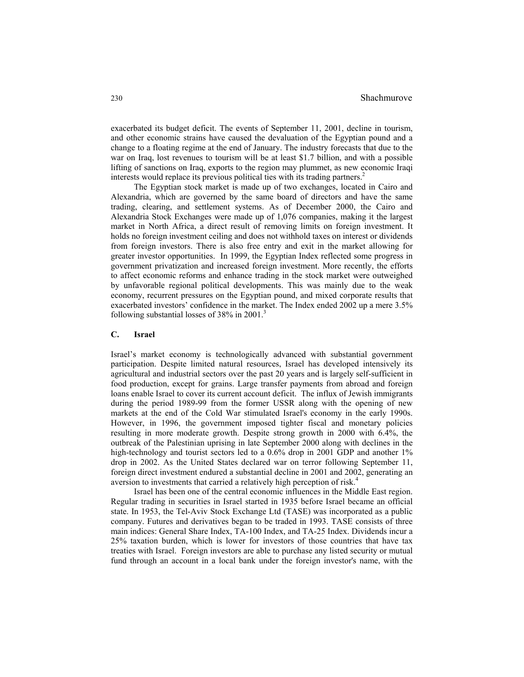exacerbated its budget deficit. The events of September 11, 2001, decline in tourism, and other economic strains have caused the devaluation of the Egyptian pound and a change to a floating regime at the end of January. The industry forecasts that due to the war on Iraq, lost revenues to tourism will be at least \$1.7 billion, and with a possible lifting of sanctions on Iraq, exports to the region may plummet, as new economic Iraqi interests would replace its previous political ties with its trading partners.<sup>2</sup>

The Egyptian stock market is made up of two exchanges, located in Cairo and Alexandria, which are governed by the same board of directors and have the same trading, clearing, and settlement systems. As of December 2000, the Cairo and Alexandria Stock Exchanges were made up of 1,076 companies, making it the largest market in North Africa, a direct result of removing limits on foreign investment. It holds no foreign investment ceiling and does not withhold taxes on interest or dividends from foreign investors. There is also free entry and exit in the market allowing for greater investor opportunities. In 1999, the Egyptian Index reflected some progress in government privatization and increased foreign investment. More recently, the efforts to affect economic reforms and enhance trading in the stock market were outweighed by unfavorable regional political developments. This was mainly due to the weak economy, recurrent pressures on the Egyptian pound, and mixed corporate results that exacerbated investors' confidence in the market. The Index ended 2002 up a mere 3.5% following substantial losses of  $38\%$  in  $2001$ .<sup>3</sup>

## **C. Israel**

Israel's market economy is technologically advanced with substantial government participation. Despite limited natural resources, Israel has developed intensively its agricultural and industrial sectors over the past 20 years and is largely self-sufficient in food production, except for grains. Large transfer payments from abroad and foreign loans enable Israel to cover its current account deficit. The influx of Jewish immigrants during the period 1989-99 from the former USSR along with the opening of new markets at the end of the Cold War stimulated Israel's economy in the early 1990s. However, in 1996, the government imposed tighter fiscal and monetary policies resulting in more moderate growth. Despite strong growth in 2000 with 6.4%, the outbreak of the Palestinian uprising in late September 2000 along with declines in the high-technology and tourist sectors led to a 0.6% drop in 2001 GDP and another 1% drop in 2002. As the United States declared war on terror following September 11, foreign direct investment endured a substantial decline in 2001 and 2002, generating an aversion to investments that carried a relatively high perception of risk.<sup>4</sup>

Israel has been one of the central economic influences in the Middle East region. Regular trading in securities in Israel started in 1935 before Israel became an official state. In 1953, the Tel-Aviv Stock Exchange Ltd (TASE) was incorporated as a public company. Futures and derivatives began to be traded in 1993. TASE consists of three main indices: General Share Index, TA-100 Index, and TA-25 Index. Dividends incur a 25% taxation burden, which is lower for investors of those countries that have tax treaties with Israel. Foreign investors are able to purchase any listed security or mutual fund through an account in a local bank under the foreign investor's name, with the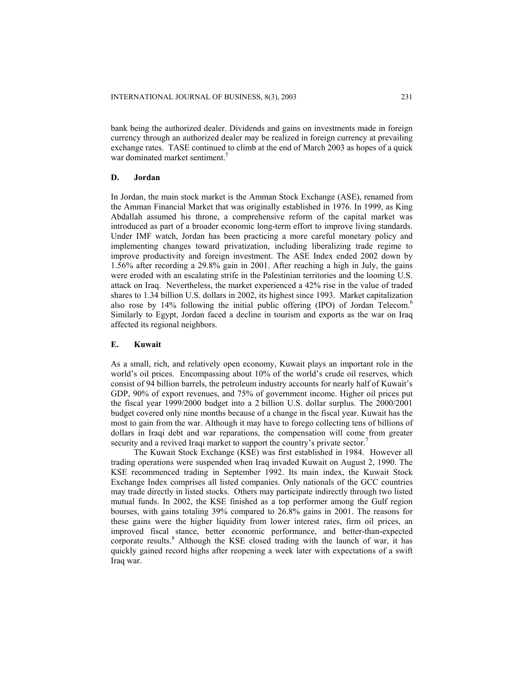bank being the authorized dealer. Dividends and gains on investments made in foreign currency through an authorized dealer may be realized in foreign currency at prevailing exchange rates. TASE continued to climb at the end of March 2003 as hopes of a quick war dominated market sentiment.<sup>5</sup>

### **D. Jordan**

In Jordan, the main stock market is the Amman Stock Exchange (ASE), renamed from the Amman Financial Market that was originally established in 1976. In 1999, as King Abdallah assumed his throne, a comprehensive reform of the capital market was introduced as part of a broader economic long-term effort to improve living standards. Under IMF watch, Jordan has been practicing a more careful monetary policy and implementing changes toward privatization, including liberalizing trade regime to improve productivity and foreign investment. The ASE Index ended 2002 down by 1.56% after recording a 29.8% gain in 2001. After reaching a high in July, the gains were eroded with an escalating strife in the Palestinian territories and the looming U.S. attack on Iraq. Nevertheless, the market experienced a 42% rise in the value of traded shares to 1.34 billion U.S. dollars in 2002, its highest since 1993. Market capitalization also rose by 14% following the initial public offering (IPO) of Jordan Telecom. 6 Similarly to Egypt, Jordan faced a decline in tourism and exports as the war on Iraq affected its regional neighbors.

#### **E. Kuwait**

As a small, rich, and relatively open economy, Kuwait plays an important role in the world's oil prices. Encompassing about 10% of the world's crude oil reserves, which consist of 94 billion barrels, the petroleum industry accounts for nearly half of Kuwait's GDP, 90% of export revenues, and 75% of government income. Higher oil prices put the fiscal year 1999/2000 budget into a 2 billion U.S. dollar surplus. The 2000/2001 budget covered only nine months because of a change in the fiscal year. Kuwait has the most to gain from the war. Although it may have to forego collecting tens of billions of dollars in Iraqi debt and war reparations, the compensation will come from greater security and a revived Iraqi market to support the country's private sector.<sup>7</sup>

The Kuwait Stock Exchange (KSE) was first established in 1984. However all trading operations were suspended when Iraq invaded Kuwait on August 2, 1990. The KSE recommenced trading in September 1992. Its main index, the Kuwait Stock Exchange Index comprises all listed companies. Only nationals of the GCC countries may trade directly in listed stocks. Others may participate indirectly through two listed mutual funds. In 2002, the KSE finished as a top performer among the Gulf region bourses, with gains totaling 39% compared to 26.8% gains in 2001. The reasons for these gains were the higher liquidity from lower interest rates, firm oil prices, an improved fiscal stance, better economic performance, and better-than-expected corporate results.<sup>8</sup> Although the KSE closed trading with the launch of war, it has quickly gained record highs after reopening a week later with expectations of a swift Iraq war.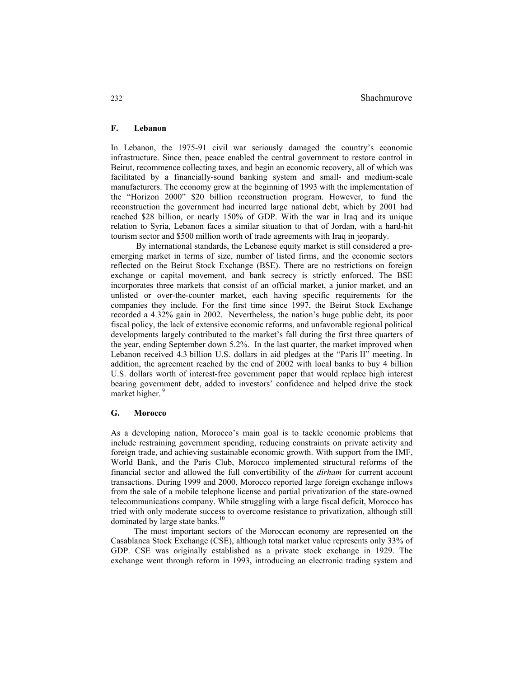# **F. Lebanon**

In Lebanon, the 1975-91 civil war seriously damaged the country's economic infrastructure. Since then, peace enabled the central government to restore control in Beirut, recommence collecting taxes, and begin an economic recovery, all of which was facilitated by a financially-sound banking system and small- and medium-scale manufacturers. The economy grew at the beginning of 1993 with the implementation of the "Horizon 2000" \$20 billion reconstruction program. However, to fund the reconstruction the government had incurred large national debt, which by 2001 had reached \$28 billion, or nearly 150% of GDP. With the war in Iraq and its unique relation to Syria, Lebanon faces a similar situation to that of Jordan, with a hard-hit tourism sector and \$500 million worth of trade agreements with Iraq in jeopardy.

By international standards, the Lebanese equity market is still considered a preemerging market in terms of size, number of listed firms, and the economic sectors reflected on the Beirut Stock Exchange (BSE). There are no restrictions on foreign exchange or capital movement, and bank secrecy is strictly enforced. The BSE incorporates three markets that consist of an official market, a junior market, and an unlisted or over-the-counter market, each having specific requirements for the companies they include. For the first time since 1997, the Beirut Stock Exchange recorded a 4.32% gain in 2002. Nevertheless, the nation's huge public debt, its poor fiscal policy, the lack of extensive economic reforms, and unfavorable regional political developments largely contributed to the market's fall during the first three quarters of the year, ending September down 5.2%. In the last quarter, the market improved when Lebanon received 4.3 billion U.S. dollars in aid pledges at the "Paris II" meeting. In addition, the agreement reached by the end of 2002 with local banks to buy 4 billion U.S. dollars worth of interest-free government paper that would replace high interest bearing government debt, added to investors' confidence and helped drive the stock market higher.<sup>9</sup>

# **G. Morocco**

As a developing nation, Morocco's main goal is to tackle economic problems that include restraining government spending, reducing constraints on private activity and foreign trade, and achieving sustainable economic growth. With support from the IMF, World Bank, and the Paris Club, Morocco implemented structural reforms of the financial sector and allowed the full convertibility of the *dirham* for current account transactions. During 1999 and 2000, Morocco reported large foreign exchange inflows from the sale of a mobile telephone license and partial privatization of the state-owned telecommunications company. While struggling with a large fiscal deficit, Morocco has tried with only moderate success to overcome resistance to privatization, although still dominated by large state banks.<sup>10</sup>

The most important sectors of the Moroccan economy are represented on the Casablanca Stock Exchange (CSE), although total market value represents only 33% of GDP. CSE was originally established as a private stock exchange in 1929. The exchange went through reform in 1993, introducing an electronic trading system and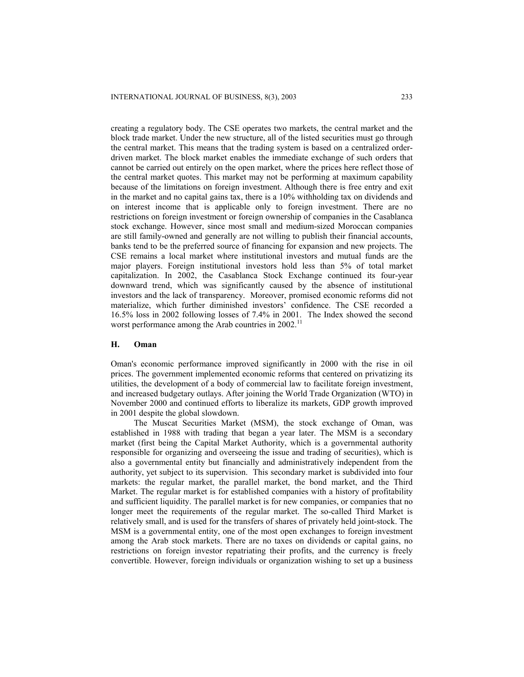creating a regulatory body. The CSE operates two markets, the central market and the block trade market. Under the new structure, all of the listed securities must go through the central market. This means that the trading system is based on a centralized orderdriven market. The block market enables the immediate exchange of such orders that cannot be carried out entirely on the open market, where the prices here reflect those of the central market quotes. This market may not be performing at maximum capability because of the limitations on foreign investment. Although there is free entry and exit in the market and no capital gains tax, there is a 10% withholding tax on dividends and on interest income that is applicable only to foreign investment. There are no restrictions on foreign investment or foreign ownership of companies in the Casablanca stock exchange. However, since most small and medium-sized Moroccan companies are still family-owned and generally are not willing to publish their financial accounts, banks tend to be the preferred source of financing for expansion and new projects. The CSE remains a local market where institutional investors and mutual funds are the major players. Foreign institutional investors hold less than 5% of total market capitalization. In 2002, the Casablanca Stock Exchange continued its four-year downward trend, which was significantly caused by the absence of institutional investors and the lack of transparency. Moreover, promised economic reforms did not materialize, which further diminished investors' confidence. The CSE recorded a 16.5% loss in 2002 following losses of 7.4% in 2001. The Index showed the second worst performance among the Arab countries in 2002.<sup>11</sup>

## **H. Oman**

Oman's economic performance improved significantly in 2000 with the rise in oil prices. The government implemented economic reforms that centered on privatizing its utilities, the development of a body of commercial law to facilitate foreign investment, and increased budgetary outlays. After joining the World Trade Organization (WTO) in November 2000 and continued efforts to liberalize its markets, GDP growth improved in 2001 despite the global slowdown.

The Muscat Securities Market (MSM), the stock exchange of Oman, was established in 1988 with trading that began a year later. The MSM is a secondary market (first being the Capital Market Authority, which is a governmental authority responsible for organizing and overseeing the issue and trading of securities), which is also a governmental entity but financially and administratively independent from the authority, yet subject to its supervision. This secondary market is subdivided into four markets: the regular market, the parallel market, the bond market, and the Third Market. The regular market is for established companies with a history of profitability and sufficient liquidity. The parallel market is for new companies, or companies that no longer meet the requirements of the regular market. The so-called Third Market is relatively small, and is used for the transfers of shares of privately held joint-stock. The MSM is a governmental entity, one of the most open exchanges to foreign investment among the Arab stock markets. There are no taxes on dividends or capital gains, no restrictions on foreign investor repatriating their profits, and the currency is freely convertible. However, foreign individuals or organization wishing to set up a business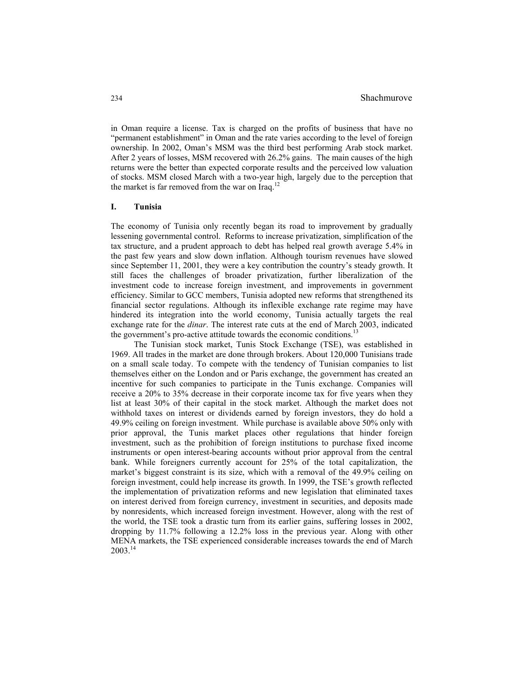in Oman require a license. Tax is charged on the profits of business that have no "permanent establishment" in Oman and the rate varies according to the level of foreign ownership. In 2002, Oman's MSM was the third best performing Arab stock market. After 2 years of losses, MSM recovered with 26.2% gains. The main causes of the high returns were the better than expected corporate results and the perceived low valuation of stocks. MSM closed March with a two-year high, largely due to the perception that the market is far removed from the war on Iraq.<sup>12</sup>

# **I. Tunisia**

The economy of Tunisia only recently began its road to improvement by gradually lessening governmental control. Reforms to increase privatization, simplification of the tax structure, and a prudent approach to debt has helped real growth average 5.4% in the past few years and slow down inflation. Although tourism revenues have slowed since September 11, 2001, they were a key contribution the country's steady growth. It still faces the challenges of broader privatization, further liberalization of the investment code to increase foreign investment, and improvements in government efficiency. Similar to GCC members, Tunisia adopted new reforms that strengthened its financial sector regulations. Although its inflexible exchange rate regime may have hindered its integration into the world economy, Tunisia actually targets the real exchange rate for the *dinar*. The interest rate cuts at the end of March 2003, indicated the government's pro-active attitude towards the economic conditions.<sup>13</sup>

The Tunisian stock market, Tunis Stock Exchange (TSE), was established in 1969. All trades in the market are done through brokers. About 120,000 Tunisians trade on a small scale today. To compete with the tendency of Tunisian companies to list themselves either on the London and or Paris exchange, the government has created an incentive for such companies to participate in the Tunis exchange. Companies will receive a 20% to 35% decrease in their corporate income tax for five years when they list at least 30% of their capital in the stock market. Although the market does not withhold taxes on interest or dividends earned by foreign investors, they do hold a 49.9% ceiling on foreign investment. While purchase is available above 50% only with prior approval, the Tunis market places other regulations that hinder foreign investment, such as the prohibition of foreign institutions to purchase fixed income instruments or open interest-bearing accounts without prior approval from the central bank. While foreigners currently account for 25% of the total capitalization, the market's biggest constraint is its size, which with a removal of the 49.9% ceiling on foreign investment, could help increase its growth. In 1999, the TSE's growth reflected the implementation of privatization reforms and new legislation that eliminated taxes on interest derived from foreign currency, investment in securities, and deposits made by nonresidents, which increased foreign investment. However, along with the rest of the world, the TSE took a drastic turn from its earlier gains, suffering losses in 2002, dropping by 11.7% following a 12.2% loss in the previous year. Along with other MENA markets, the TSE experienced considerable increases towards the end of March 2003.<sup>14</sup>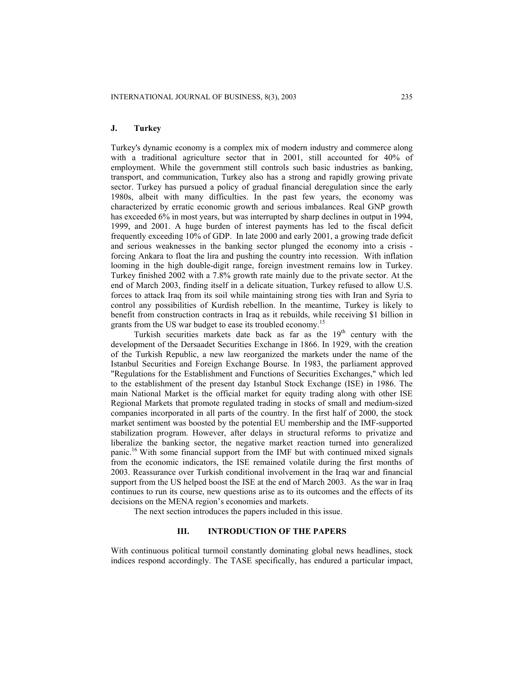## **J. Turkey**

Turkey's dynamic economy is a complex mix of modern industry and commerce along with a traditional agriculture sector that in 2001, still accounted for 40% of employment. While the government still controls such basic industries as banking, transport, and communication, Turkey also has a strong and rapidly growing private sector. Turkey has pursued a policy of gradual financial deregulation since the early 1980s, albeit with many difficulties. In the past few years, the economy was characterized by erratic economic growth and serious imbalances. Real GNP growth has exceeded 6% in most years, but was interrupted by sharp declines in output in 1994, 1999, and 2001. A huge burden of interest payments has led to the fiscal deficit frequently exceeding 10% of GDP. In late 2000 and early 2001, a growing trade deficit and serious weaknesses in the banking sector plunged the economy into a crisis forcing Ankara to float the lira and pushing the country into recession. With inflation looming in the high double-digit range, foreign investment remains low in Turkey. Turkey finished 2002 with a 7.8% growth rate mainly due to the private sector. At the end of March 2003, finding itself in a delicate situation, Turkey refused to allow U.S. forces to attack Iraq from its soil while maintaining strong ties with Iran and Syria to control any possibilities of Kurdish rebellion. In the meantime, Turkey is likely to benefit from construction contracts in Iraq as it rebuilds, while receiving \$1 billion in grants from the US war budget to ease its troubled economy.<sup>15</sup>

Turkish securities markets date back as far as the  $19<sup>th</sup>$  century with the development of the Dersaadet Securities Exchange in 1866. In 1929, with the creation of the Turkish Republic, a new law reorganized the markets under the name of the Istanbul Securities and Foreign Exchange Bourse. In 1983, the parliament approved "Regulations for the Establishment and Functions of Securities Exchanges," which led to the establishment of the present day Istanbul Stock Exchange (ISE) in 1986. The main National Market is the official market for equity trading along with other ISE Regional Markets that promote regulated trading in stocks of small and medium-sized companies incorporated in all parts of the country. In the first half of 2000, the stock market sentiment was boosted by the potential EU membership and the IMF-supported stabilization program. However, after delays in structural reforms to privatize and liberalize the banking sector, the negative market reaction turned into generalized panic.16 With some financial support from the IMF but with continued mixed signals from the economic indicators, the ISE remained volatile during the first months of 2003. Reassurance over Turkish conditional involvement in the Iraq war and financial support from the US helped boost the ISE at the end of March 2003. As the war in Iraq continues to run its course, new questions arise as to its outcomes and the effects of its decisions on the MENA region's economies and markets.

The next section introduces the papers included in this issue.

# **III. INTRODUCTION OF THE PAPERS**

With continuous political turmoil constantly dominating global news headlines, stock indices respond accordingly. The TASE specifically, has endured a particular impact,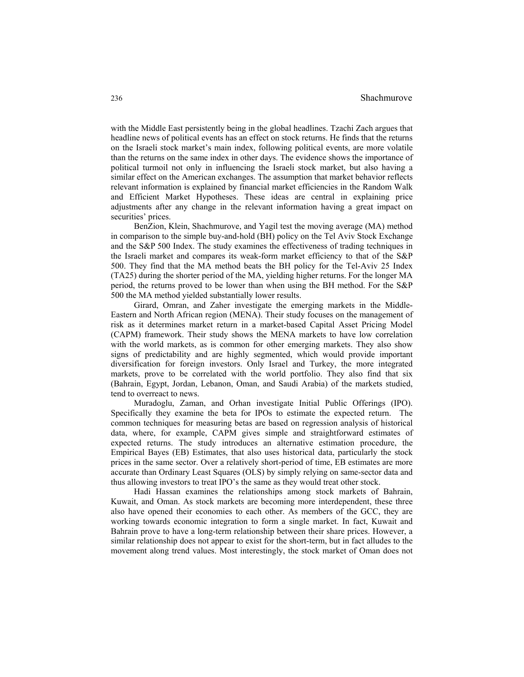with the Middle East persistently being in the global headlines. Tzachi Zach argues that headline news of political events has an effect on stock returns. He finds that the returns on the Israeli stock market's main index, following political events, are more volatile than the returns on the same index in other days. The evidence shows the importance of political turmoil not only in influencing the Israeli stock market, but also having a similar effect on the American exchanges. The assumption that market behavior reflects relevant information is explained by financial market efficiencies in the Random Walk and Efficient Market Hypotheses. These ideas are central in explaining price adjustments after any change in the relevant information having a great impact on securities' prices.

BenZion, Klein, Shachmurove, and Yagil test the moving average (MA) method in comparison to the simple buy-and-hold (BH) policy on the Tel Aviv Stock Exchange and the S&P 500 Index. The study examines the effectiveness of trading techniques in the Israeli market and compares its weak-form market efficiency to that of the S&P 500. They find that the MA method beats the BH policy for the Tel-Aviv 25 Index (TA25) during the shorter period of the MA, yielding higher returns. For the longer MA period, the returns proved to be lower than when using the BH method. For the S&P 500 the MA method yielded substantially lower results.

Girard, Omran, and Zaher investigate the emerging markets in the Middle-Eastern and North African region (MENA). Their study focuses on the management of risk as it determines market return in a market-based Capital Asset Pricing Model (CAPM) framework. Their study shows the MENA markets to have low correlation with the world markets, as is common for other emerging markets. They also show signs of predictability and are highly segmented, which would provide important diversification for foreign investors. Only Israel and Turkey, the more integrated markets, prove to be correlated with the world portfolio. They also find that six (Bahrain, Egypt, Jordan, Lebanon, Oman, and Saudi Arabia) of the markets studied, tend to overreact to news.

Muradoglu, Zaman, and Orhan investigate Initial Public Offerings (IPO). Specifically they examine the beta for IPOs to estimate the expected return. The common techniques for measuring betas are based on regression analysis of historical data, where, for example, CAPM gives simple and straightforward estimates of expected returns. The study introduces an alternative estimation procedure, the Empirical Bayes (EB) Estimates, that also uses historical data, particularly the stock prices in the same sector. Over a relatively short-period of time, EB estimates are more accurate than Ordinary Least Squares (OLS) by simply relying on same-sector data and thus allowing investors to treat IPO's the same as they would treat other stock.

Hadi Hassan examines the relationships among stock markets of Bahrain, Kuwait, and Oman. As stock markets are becoming more interdependent, these three also have opened their economies to each other. As members of the GCC, they are working towards economic integration to form a single market. In fact, Kuwait and Bahrain prove to have a long-term relationship between their share prices. However, a similar relationship does not appear to exist for the short-term, but in fact alludes to the movement along trend values. Most interestingly, the stock market of Oman does not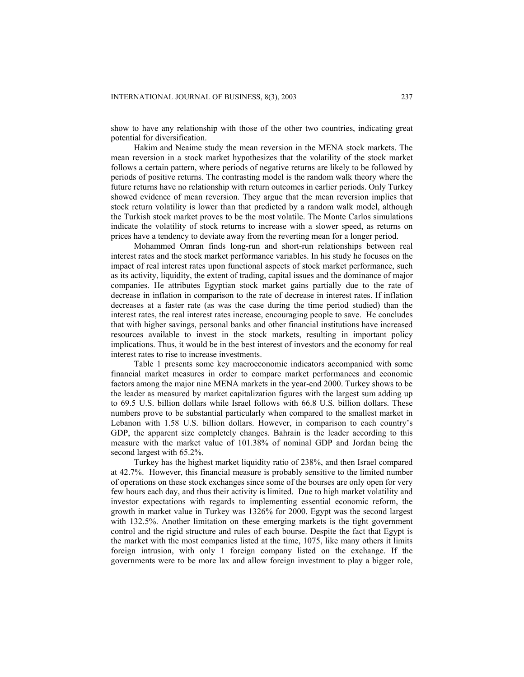show to have any relationship with those of the other two countries, indicating great potential for diversification.

Hakim and Neaime study the mean reversion in the MENA stock markets. The mean reversion in a stock market hypothesizes that the volatility of the stock market follows a certain pattern, where periods of negative returns are likely to be followed by periods of positive returns. The contrasting model is the random walk theory where the future returns have no relationship with return outcomes in earlier periods. Only Turkey showed evidence of mean reversion. They argue that the mean reversion implies that stock return volatility is lower than that predicted by a random walk model, although the Turkish stock market proves to be the most volatile. The Monte Carlos simulations indicate the volatility of stock returns to increase with a slower speed, as returns on prices have a tendency to deviate away from the reverting mean for a longer period.

Mohammed Omran finds long-run and short-run relationships between real interest rates and the stock market performance variables. In his study he focuses on the impact of real interest rates upon functional aspects of stock market performance, such as its activity, liquidity, the extent of trading, capital issues and the dominance of major companies. He attributes Egyptian stock market gains partially due to the rate of decrease in inflation in comparison to the rate of decrease in interest rates. If inflation decreases at a faster rate (as was the case during the time period studied) than the interest rates, the real interest rates increase, encouraging people to save. He concludes that with higher savings, personal banks and other financial institutions have increased resources available to invest in the stock markets, resulting in important policy implications. Thus, it would be in the best interest of investors and the economy for real interest rates to rise to increase investments.

Table 1 presents some key macroeconomic indicators accompanied with some financial market measures in order to compare market performances and economic factors among the major nine MENA markets in the year-end 2000. Turkey shows to be the leader as measured by market capitalization figures with the largest sum adding up to 69.5 U.S. billion dollars while Israel follows with 66.8 U.S. billion dollars. These numbers prove to be substantial particularly when compared to the smallest market in Lebanon with 1.58 U.S. billion dollars. However, in comparison to each country's GDP, the apparent size completely changes. Bahrain is the leader according to this measure with the market value of 101.38% of nominal GDP and Jordan being the second largest with 65.2%.

Turkey has the highest market liquidity ratio of 238%, and then Israel compared at 42.7%. However, this financial measure is probably sensitive to the limited number of operations on these stock exchanges since some of the bourses are only open for very few hours each day, and thus their activity is limited. Due to high market volatility and investor expectations with regards to implementing essential economic reform, the growth in market value in Turkey was 1326% for 2000. Egypt was the second largest with 132.5%. Another limitation on these emerging markets is the tight government control and the rigid structure and rules of each bourse. Despite the fact that Egypt is the market with the most companies listed at the time, 1075, like many others it limits foreign intrusion, with only 1 foreign company listed on the exchange. If the governments were to be more lax and allow foreign investment to play a bigger role,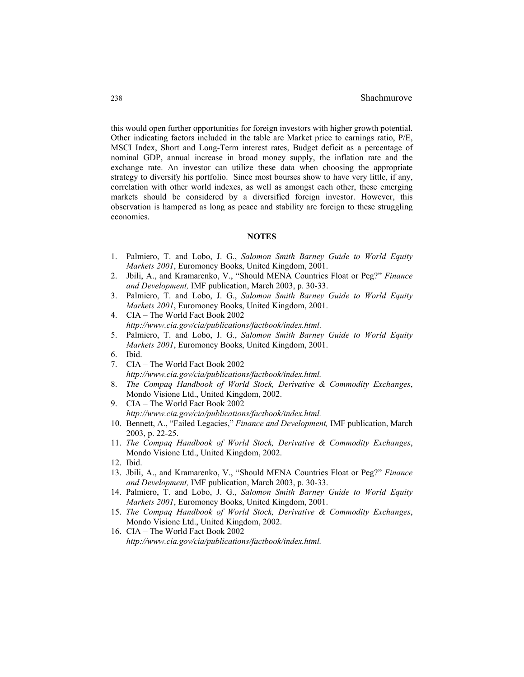this would open further opportunities for foreign investors with higher growth potential. Other indicating factors included in the table are Market price to earnings ratio, P/E, MSCI Index, Short and Long-Term interest rates, Budget deficit as a percentage of nominal GDP, annual increase in broad money supply, the inflation rate and the exchange rate. An investor can utilize these data when choosing the appropriate strategy to diversify his portfolio. Since most bourses show to have very little, if any, correlation with other world indexes, as well as amongst each other, these emerging markets should be considered by a diversified foreign investor. However, this observation is hampered as long as peace and stability are foreign to these struggling economies.

## **NOTES**

- 1. Palmiero, T. and Lobo, J. G., *Salomon Smith Barney Guide to World Equity Markets 2001*, Euromoney Books, United Kingdom, 2001.
- 2. Jbili, A., and Kramarenko, V., "Should MENA Countries Float or Peg?" *Finance and Development,* IMF publication, March 2003, p. 30-33.
- 3. Palmiero, T. and Lobo, J. G., *Salomon Smith Barney Guide to World Equity Markets 2001*, Euromoney Books, United Kingdom, 2001.
- 4. CIA The World Fact Book 2002 *http://www.cia.gov/cia/publications/factbook/index.html.*
- 5. Palmiero, T. and Lobo, J. G., *Salomon Smith Barney Guide to World Equity Markets 2001*, Euromoney Books, United Kingdom, 2001.
- 6. Ibid.
- 7. CIA The World Fact Book 2002  *http://www.cia.gov/cia/publications/factbook/index.html.*
- 8. *The Compaq Handbook of World Stock, Derivative & Commodity Exchanges*, Mondo Visione Ltd., United Kingdom, 2002.
- 9. CIA The World Fact Book 2002  *http://www.cia.gov/cia/publications/factbook/index.html.*
- 10. Bennett, A., "Failed Legacies," *Finance and Development,* IMF publication, March 2003, p. 22-25.
- 11. *The Compaq Handbook of World Stock, Derivative & Commodity Exchanges*, Mondo Visione Ltd., United Kingdom, 2002.
- 12. Ibid.
- 13. Jbili, A., and Kramarenko, V., "Should MENA Countries Float or Peg?" *Finance and Development,* IMF publication, March 2003, p. 30-33.
- 14. Palmiero, T. and Lobo, J. G., *Salomon Smith Barney Guide to World Equity Markets 2001*, Euromoney Books, United Kingdom, 2001.
- 15. *The Compaq Handbook of World Stock, Derivative & Commodity Exchanges*, Mondo Visione Ltd., United Kingdom, 2002.
- 16. CIA The World Fact Book 2002 *http://www.cia.gov/cia/publications/factbook/index.html.*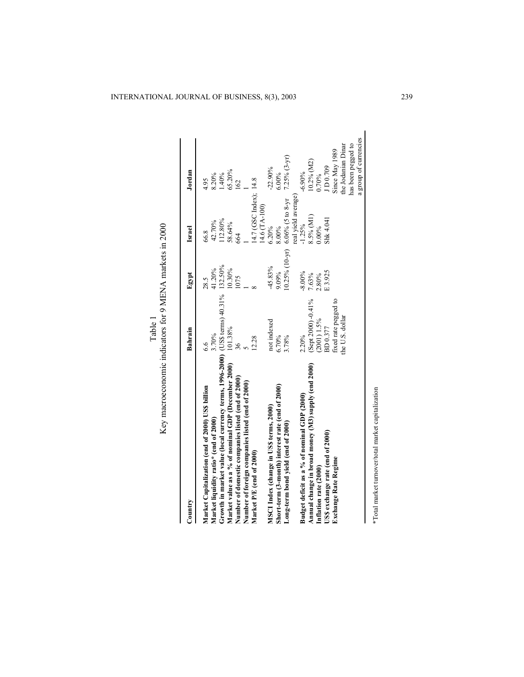| Country                                                                                 | Bahrain              | Egypt               | Israel                 | Jordan                |
|-----------------------------------------------------------------------------------------|----------------------|---------------------|------------------------|-----------------------|
|                                                                                         |                      |                     |                        |                       |
| Market Capitalization (end of 2000) US\$ billion                                        | 6.6                  | 28.5                | 66.8                   | 4.95                  |
| Market liquidity ratio* (end of 2000)                                                   | 3.70%                | 41.20%              | 42.70%                 | 8.20%                 |
| Growth in market value (local currency terms, 1996-2000) (US\$ terms) $40.31\%$ 132.50% |                      |                     | 12.80%                 | 1.40%                 |
| Market value as a % of nominal GDP (December 2000)                                      | 101.38%              | 10.30%              | 58.64%                 | 65.20%                |
| Number of domestic companies listed (end of 2000)                                       | 36                   | 1075                | 664                    | 162                   |
| Number of foreign companies listed (end of 2000)                                        |                      |                     |                        |                       |
| Market P/E (end of 2000)                                                                | 12.28                |                     | 14.7 (GSC Index); 14.8 |                       |
|                                                                                         |                      |                     | 14.6 (TA-100)          |                       |
| MSCI Index (change in USS terms, 2000)                                                  | not indexed          | 45.83%              | 6.20%                  | $-22.90%$             |
| Short-term (3-month) interest rate (end of 2000)                                        | 6.70%                | 9.09%               | 8.00%                  | 6.00%                 |
| Long-term bond yield (end of 2000)                                                      | 3.78%                | $(0.25\% (10 - yr)$ | $6.06\%$ (5 to 8-yr    | $7.25%$ $(3-yr)$      |
|                                                                                         |                      |                     | real yield average)    |                       |
| Budget deficit as a % of nominal GDP (2000)                                             | 2.20%                | $-8.00\%$           | $-1.25%$               | $-6.90\%$             |
| Annual change in broad money (M3) supply (end 2000)                                     | $(Sept 2000) -0.41%$ | 7.63%               | 8.5% (M1)              | 10.2% (M2)            |
| Inflation rate (2000)                                                                   | $(2001)$ 1.5%        | 2.80%               | 0.00%                  | 0.70%                 |
| US\$ exchange rate (end of 2000)                                                        | BD 0.377             | E3.925              | Shk 4.041              | JD0.709               |
| Exchange Rate Regime                                                                    | fixed rate pegged to |                     |                        | Since May 1989        |
|                                                                                         | the U.S. dollar      |                     |                        | the Jodanian Dinar    |
|                                                                                         |                      |                     |                        | has been pegged to    |
|                                                                                         |                      |                     |                        | a group of currencies |

\*Total market turnover/total market capitalization \*Total market turnover/total market capitalization

Table 1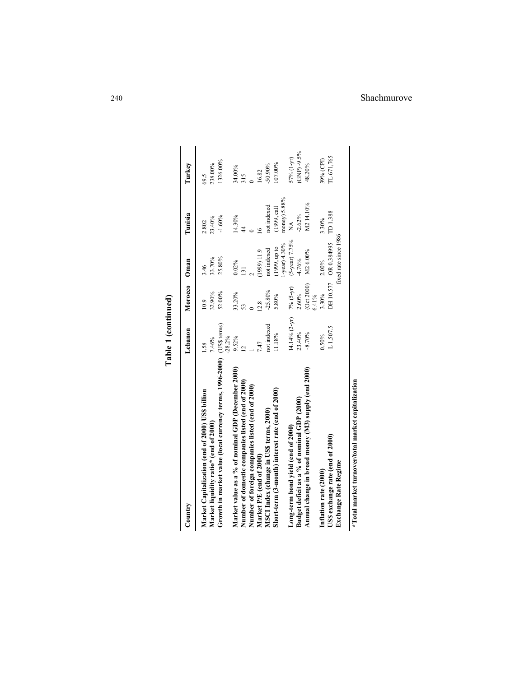| Country                                                               | Lebanon          | Morocco Oman        |                                                | Tunisia        | Turkey          |
|-----------------------------------------------------------------------|------------------|---------------------|------------------------------------------------|----------------|-----------------|
| Market Capitalization (end of 2000) USS billion                       | 1.58             | 10.9                | 3.46                                           | 2.802          | 69.5            |
| Market liquidity ratio* (end of 2000)                                 | 7.46%            | 32.90%              | 33.70%                                         | 23.40%         | 238.00%         |
| Growth in market value (local currency terms, 1996-2000) (US\$ terms) | $-28.2%$         | 52.00%              | 25.80%                                         | $-1.60%$       | 1326.00%        |
| Market value as a % of nominal GDP (December 2000)                    | $9.52\%$         | 33.20%              | $0.02\%$                                       | 14.30%         | 34.00%          |
| Number of domestic companies listed (end of 2000)                     |                  |                     | $\overline{131}$                               | 4              | 315             |
| Number of foreign companies listed (end of 2000)                      |                  |                     |                                                |                |                 |
| Market P/E (end of 2000)                                              | 7.47             | 12.8                | [1999] 11.9                                    | $\overline{6}$ | 16.82           |
| MSCI Index (change in US\$ terms, 2000)                               | not indexed      | $-25.80%$           | not indexed                                    | not indexed    | $-50.90\%$      |
| Short-term (3-month) interest rate (end of 2000)                      | 11.18%           | 5.80%               | (1999, up to                                   | (1999, cal]    | 07.00%          |
|                                                                       |                  |                     | $-year$ ) 4.30%                                | money) 5.88%   |                 |
| Long-term bond yield (end of 2000)                                    | $(4.14\% (2-yr)$ | 7% (5-yr)           | (5-year) 7.75%                                 | $\tilde{\ge}$  | 57% (1-yr)      |
| Budget deficit as a % of nominal GDP (2000)                           | 23.40%           | 2.60%               | $-4.76%$                                       | $-2.62%$       | GNP) -9.5%      |
| Annual change in broad money (M3) supply (end 2000)                   | $-8.70%$         | (Oct 2000)<br>6.41% | M26.00%                                        | M214.10%       | 48.20%          |
| Inflation rate (2000)                                                 | $0.50\%$         | 3.30%               | 2.00%                                          | 3.30%          | 39% (CPI)       |
| US\$ exchange rate (end of 2000)<br><b>Exchange Rate Regime</b>       | L1,507.5         |                     | fixed rate since 1986<br>DH 10.577 OR 0.384995 | TD1.388        | <b>L671,765</b> |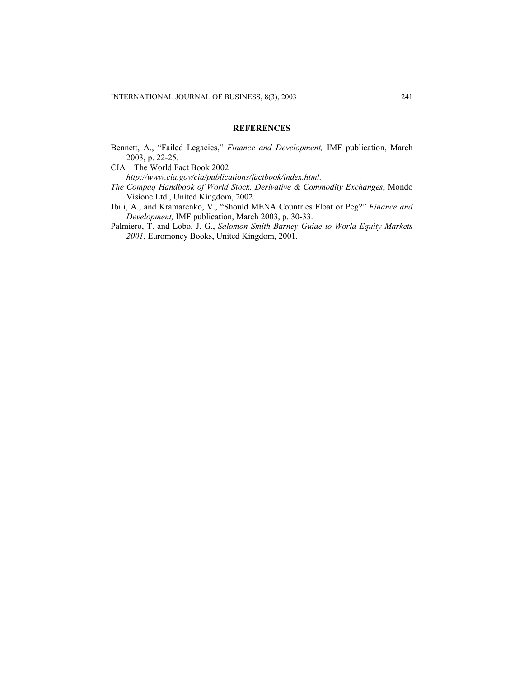# **REFERENCES**

Bennett, A., "Failed Legacies," *Finance and Development,* IMF publication, March 2003, p. 22-25.

CIA – The World Fact Book 2002

*http://www.cia.gov/cia/publications/factbook/index.html.* 

- *The Compaq Handbook of World Stock, Derivative & Commodity Exchanges*, Mondo Visione Ltd., United Kingdom, 2002.
- Jbili, A., and Kramarenko, V., "Should MENA Countries Float or Peg?" *Finance and Development,* IMF publication, March 2003, p. 30-33.
- Palmiero, T. and Lobo, J. G., *Salomon Smith Barney Guide to World Equity Markets 2001*, Euromoney Books, United Kingdom, 2001.